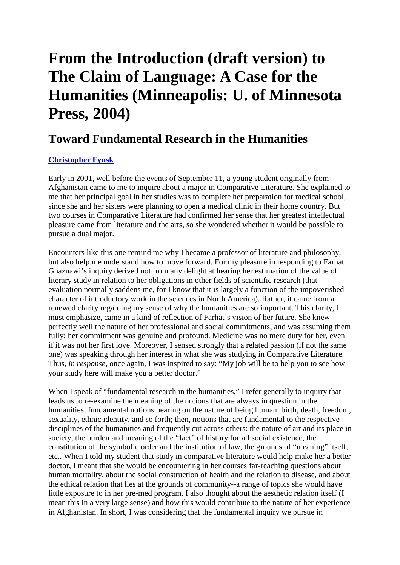## **From the Introduction (draft version) to The Claim of Language: A Case for the Humanities (Minneapolis: U. of Minnesota Press, 2004)**

## **Toward Fundamental Research in the Humanities**

## **Christopher Fynsk**

Early in 2001, well before the events of September 11, a young student originally from Afghanistan came to me to inquire about a major in Comparative Literature. She explained to me that her principal goal in her studies was to complete her preparation for medical school, since she and her sisters were planning to open a medical clinic in their home country. But two courses in Comparative Literature had confirmed her sense that her greatest intellectual pleasure came from literature and the arts, so she wondered whether it would be possible to pursue a dual major.

Encounters like this one remind me why I became a professor of literature and philosophy, but also help me understand how to move forward. For my pleasure in responding to Farhat Ghaznawi's inquiry derived not from any delight at hearing her estimation of the value of literary study in relation to her obligations in other fields of scientific research (that evaluation normally saddens me, for I know that it is largely a function of the impoverished character of introductory work in the sciences in North America). Rather, it came from a renewed clarity regarding my sense of why the humanities are so important. This clarity, I must emphasize, came in a kind of reflection of Farhat's vision of her future. She knew perfectly well the nature of her professional and social commitments, and was assuming them fully; her commitment was genuine and profound. Medicine was no mere duty for her, even if it was not her first love. Moreover, I sensed strongly that a related passion (if not the same one) was speaking through her interest in what she was studying in Comparative Literature. Thus, *in response*, once again, I was inspired to say: "My job will be to help you to see how your study here will make you a better doctor."

When I speak of "fundamental research in the humanities," I refer generally to inquiry that leads us to re-examine the meaning of the notions that are always in question in the humanities: fundamental notions bearing on the nature of being human: birth, death, freedom, sexuality, ethnic identity, and so forth; then, notions that are fundamental to the respective disciplines of the humanities and frequently cut across others: the nature of art and its place in society, the burden and meaning of the "fact" of history for all social existence, the constitution of the symbolic order and the institution of law, the grounds of "meaning" itself, etc.. When I told my student that study in comparative literature would help make her a better doctor, I meant that she would be encountering in her courses far-reaching questions about human mortality, about the social construction of health and the relation to disease, and about the ethical relation that lies at the grounds of community--a range of topics she would have little exposure to in her pre-med program. I also thought about the aesthetic relation itself (I mean this in a very large sense) and how this would contribute to the nature of her experience in Afghanistan. In short, I was considering that the fundamental inquiry we pursue in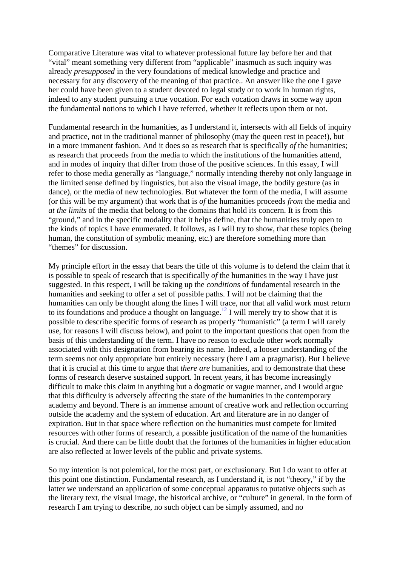Comparative Literature was vital to whatever professional future lay before her and that "vital" meant something very different from "applicable" inasmuch as such inquiry was already *presupposed* in the very foundations of medical knowledge and practice and necessary for any discovery of the meaning of that practice.. An answer like the one I gave her could have been given to a student devoted to legal study or to work in human rights, indeed to any student pursuing a true vocation. For each vocation draws in some way upon the fundamental notions to which I have referred, whether it reflects upon them or not.

Fundamental research in the humanities, as I understand it, intersects with all fields of inquiry and practice, not in the traditional manner of philosophy (may the queen rest in peace!), but in a more immanent fashion. And it does so as research that is specifically *of* the humanities; as research that proceeds from the media to which the institutions of the humanities attend, and in modes of inquiry that differ from those of the positive sciences. In this essay, I will refer to those media generally as "language," normally intending thereby not only language in the limited sense defined by linguistics, but also the visual image, the bodily gesture (as in dance), or the media of new technologies. But whatever the form of the media, I will assume (or this will be my argument) that work that is *of* the humanities proceeds *from* the media and *at the limits* of the media that belong to the domains that hold its concern. It is from this "ground," and in the specific modality that it helps define, that the humanities truly open to the kinds of topics I have enumerated. It follows, as I will try to show, that these topics (being human, the constitution of symbolic meaning, etc.) are therefore something more than "themes" for discussion.

My principle effort in the essay that bears the title of this volume is to defend the claim that it is possible to speak of research that is specifically *of* the humanities in the way I have just suggested. In this respect, I will be taking up the *conditions* of fundamental research in the humanities and seeking to offer a set of possible paths. I will not be claiming that the humanities can only be thought along the lines I will trace, nor that all valid work must return to its foundations and produce a thought on language.<sup>12</sup> I will merely try to show that it is possible to describe specific forms of research as properly "humanistic" (a term I will rarely use, for reasons I will discuss below), and point to the important questions that open from the basis of this understanding of the term. I have no reason to exclude other work normally associated with this designation from bearing its name. Indeed, a looser understanding of the term seems not only appropriate but entirely necessary (here I am a pragmatist). But I believe that it is crucial at this time to argue that *there are* humanities, and to demonstrate that these forms of research deserve sustained support. In recent years, it has become increasingly difficult to make this claim in anything but a dogmatic or vague manner, and I would argue that this difficulty is adversely affecting the state of the humanities in the contemporary academy and beyond. There is an immense amount of creative work and reflection occurring outside the academy and the system of education. Art and literature are in no danger of expiration. But in that space where reflection on the humanities must compete for limited resources with other forms of research, a possible justification of the name of the humanities is crucial. And there can be little doubt that the fortunes of the humanities in higher education are also reflected at lower levels of the public and private systems.

So my intention is not polemical, for the most part, or exclusionary. But I do want to offer at this point one distinction. Fundamental research, as I understand it, is not "theory," if by the latter we understand an application of some conceptual apparatus to putative objects such as the literary text, the visual image, the historical archive, or "culture" in general. In the form of research I am trying to describe, no such object can be simply assumed, and no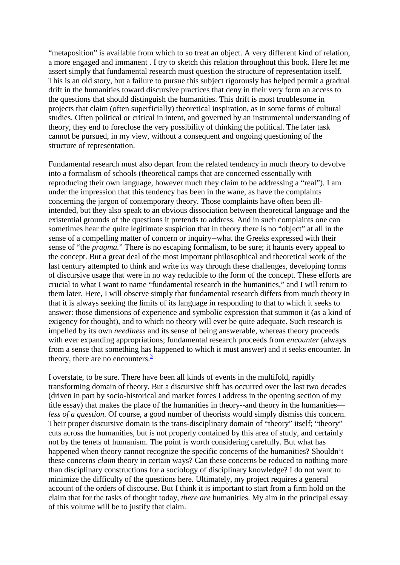"metaposition" is available from which to so treat an object. A very different kind of relation, a more engaged and immanent . I try to sketch this relation throughout this book. Here let me assert simply that fundamental research must question the structure of representation itself. This is an old story, but a failure to pursue this subject rigorously has helped permit a gradual drift in the humanities toward discursive practices that deny in their very form an access to the questions that should distinguish the humanities. This drift is most troublesome in projects that claim (often superficially) theoretical inspiration, as in some forms of cultural studies. Often political or critical in intent, and governed by an instrumental understanding of theory, they end to foreclose the very possibility of thinking the political. The later task cannot be pursued, in my view, without a consequent and ongoing questioning of the structure of representation.

Fundamental research must also depart from the related tendency in much theory to devolve into a formalism of schools (theoretical camps that are concerned essentially with reproducing their own language, however much they claim to be addressing a "real"). I am under the impression that this tendency has been in the wane, as have the complaints concerning the jargon of contemporary theory. Those complaints have often been illintended, but they also speak to an obvious dissociation between theoretical language and the existential grounds of the questions it pretends to address. And in such complaints one can sometimes hear the quite legitimate suspicion that in theory there is no "object" at all in the sense of a compelling matter of concern or inquiry--what the Greeks expressed with their sense of "the *pragma.*" There is no escaping formalism, to be sure; it haunts every appeal to the concept. But a great deal of the most important philosophical and theoretical work of the last century attempted to think and write its way through these challenges, developing forms of discursive usage that were in no way reducible to the form of the concept. These efforts are crucial to what I want to name "fundamental research in the humanities," and I will return to them later. Here, I will observe simply that fundamental research differs from much theory in that it is always seeking the limits of its language in responding to that to which it seeks to answer: those dimensions of experience and symbolic expression that summon it (as a kind of exigency for thought), and to which no theory will ever be quite adequate. Such research is impelled by its own *neediness* and its sense of being answerable, whereas theory proceeds with ever expanding appropriations; fundamental research proceeds from *encounter* (always from a sense that something has happened to which it must answer) and it seeks encounter. In theory, there are no encounters. $\frac{3}{2}$ 

I overstate, to be sure. There have been all kinds of events in the multifold, rapidly transforming domain of theory. But a discursive shift has occurred over the last two decades (driven in part by socio-historical and market forces I address in the opening section of my title essay) that makes the place of the humanities in theory--and theory in the humanities *less of a question*. Of course, a good number of theorists would simply dismiss this concern. Their proper discursive domain is the trans-disciplinary domain of "theory" itself; "theory" cuts across the humanities, but is not properly contained by this area of study, and certainly not by the tenets of humanism. The point is worth considering carefully. But what has happened when theory cannot recognize the specific concerns of the humanities? Shouldn't these concerns *claim* theory in certain ways? Can these concerns be reduced to nothing more than disciplinary constructions for a sociology of disciplinary knowledge? I do not want to minimize the difficulty of the questions here. Ultimately, my project requires a general account of the orders of discourse. But I think it is important to start from a firm hold on the claim that for the tasks of thought today, *there are* humanities. My aim in the principal essay of this volume will be to justify that claim.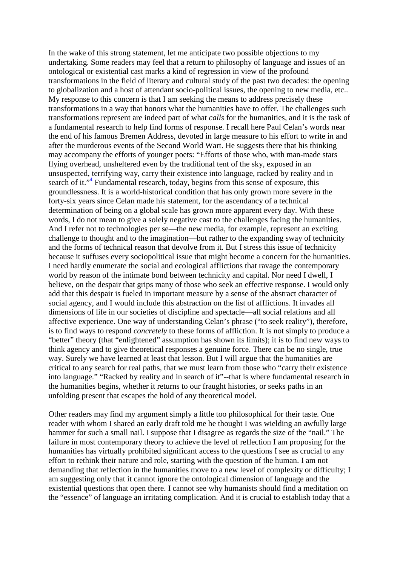In the wake of this strong statement, let me anticipate two possible objections to my undertaking. Some readers may feel that a return to philosophy of language and issues of an ontological or existential cast marks a kind of regression in view of the profound transformations in the field of literary and cultural study of the past two decades: the opening to globalization and a host of attendant socio-political issues, the opening to new media, etc.. My response to this concern is that I am seeking the means to address precisely these transformations in a way that honors what the humanities have to offer. The challenges such transformations represent are indeed part of what *calls* for the humanities, and it is the task of a fundamental research to help find forms of response. I recall here Paul Celan's words near the end of his famous Bremen Address, devoted in large measure to his effort to write in and after the murderous events of the Second World Wart. He suggests there that his thinking may accompany the efforts of younger poets: "Efforts of those who, with man-made stars flying overhead, unsheltered even by the traditional tent of the sky, exposed in an unsuspected, terrifying way, carry their existence into language, racked by reality and in search of it."<sup>4</sup> Fundamental research, today, begins from this sense of exposure, this groundlessness. It is a world-historical condition that has only grown more severe in the forty-six years since Celan made his statement, for the ascendancy of a technical determination of being on a global scale has grown more apparent every day. With these words, I do not mean to give a solely negative cast to the challenges facing the humanities. And I refer not to technologies per se—the new media, for example, represent an exciting challenge to thought and to the imagination—but rather to the expanding sway of technicity and the forms of technical reason that devolve from it. But I stress this issue of technicity because it suffuses every sociopolitical issue that might become a concern for the humanities. I need hardly enumerate the social and ecological afflictions that ravage the contemporary world by reason of the intimate bond between technicity and capital. Nor need I dwell, I believe, on the despair that grips many of those who seek an effective response. I would only add that this despair is fueled in important measure by a sense of the abstract character of social agency, and I would include this abstraction on the list of afflictions. It invades all dimensions of life in our societies of discipline and spectacle—all social relations and all affective experience. One way of understanding Celan's phrase ("to seek reality"), therefore, is to find ways to respond *concretely* to these forms of affliction. It is not simply to produce a "better" theory (that "enlightened" assumption has shown its limits); it is to find new ways to think agency and to give theoretical responses a genuine force. There can be no single, true way. Surely we have learned at least that lesson. But I will argue that the humanities are critical to any search for real paths, that we must learn from those who "carry their existence into language." "Racked by reality and in search of it"--that is where fundamental research in the humanities begins, whether it returns to our fraught histories, or seeks paths in an unfolding present that escapes the hold of any theoretical model.

Other readers may find my argument simply a little too philosophical for their taste. One reader with whom I shared an early draft told me he thought I was wielding an awfully large hammer for such a small nail. I suppose that I disagree as regards the size of the "nail." The failure in most contemporary theory to achieve the level of reflection I am proposing for the humanities has virtually prohibited significant access to the questions I see as crucial to any effort to rethink their nature and role, starting with the question of the human. I am not demanding that reflection in the humanities move to a new level of complexity or difficulty; I am suggesting only that it cannot ignore the ontological dimension of language and the existential questions that open there. I cannot see why humanists should find a meditation on the "essence" of language an irritating complication. And it is crucial to establish today that a